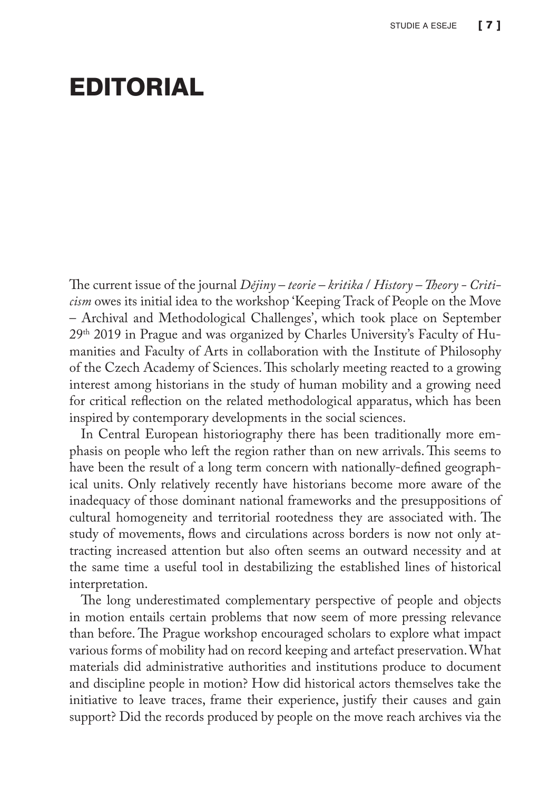## EDITORIAL

The current issue of the journal *Dějiny – teorie – kritika* / *History – Theory - Criticism* owes its initial idea to the workshop 'Keeping Track of People on the Move – Archival and Methodological Challenges', which took place on September 29th 2019 in Prague and was organized by Charles University's Faculty of Humanities and Faculty of Arts in collaboration with the Institute of Philosophy of the Czech Academy of Sciences. This scholarly meeting reacted to a growing interest among historians in the study of human mobility and a growing need for critical reflection on the related methodological apparatus, which has been inspired by contemporary developments in the social sciences.

In Central European historiography there has been traditionally more emphasis on people who left the region rather than on new arrivals. This seems to have been the result of a long term concern with nationally-defined geographical units. Only relatively recently have historians become more aware of the inadequacy of those dominant national frameworks and the presuppositions of cultural homogeneity and territorial rootedness they are associated with. The study of movements, flows and circulations across borders is now not only attracting increased attention but also often seems an outward necessity and at the same time a useful tool in destabilizing the established lines of historical interpretation.

The long underestimated complementary perspective of people and objects in motion entails certain problems that now seem of more pressing relevance than before. The Prague workshop encouraged scholars to explore what impact various forms of mobility had on record keeping and artefact preservation. What materials did administrative authorities and institutions produce to document and discipline people in motion? How did historical actors themselves take the initiative to leave traces, frame their experience, justify their causes and gain support? Did the records produced by people on the move reach archives via the